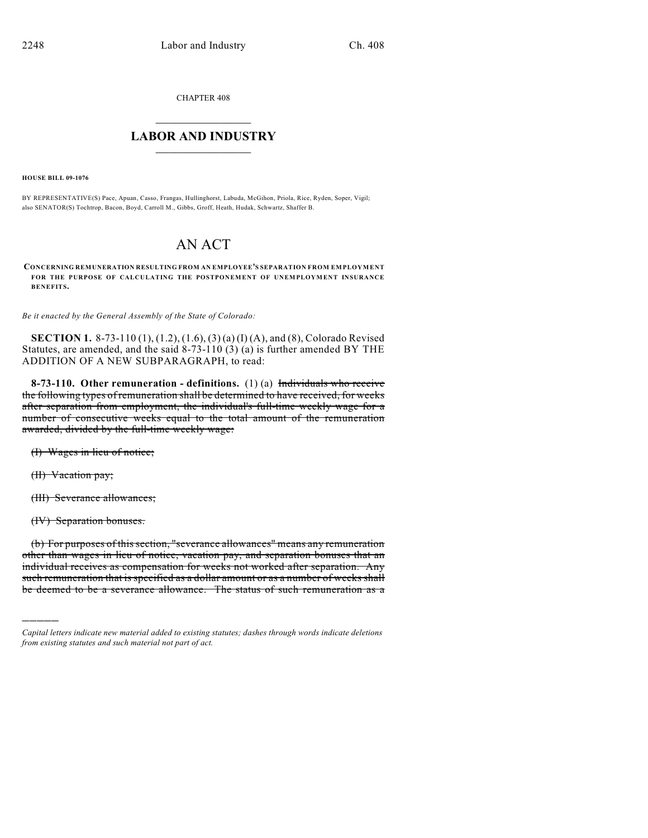CHAPTER 408

## $\mathcal{L}_\text{max}$  . The set of the set of the set of the set of the set of the set of the set of the set of the set of the set of the set of the set of the set of the set of the set of the set of the set of the set of the set **LABOR AND INDUSTRY**  $\frac{1}{\sqrt{2}}$  ,  $\frac{1}{\sqrt{2}}$  ,  $\frac{1}{\sqrt{2}}$  ,  $\frac{1}{\sqrt{2}}$  ,  $\frac{1}{\sqrt{2}}$  ,  $\frac{1}{\sqrt{2}}$

**HOUSE BILL 09-1076**

BY REPRESENTATIVE(S) Pace, Apuan, Casso, Frangas, Hullinghorst, Labuda, McGihon, Priola, Rice, Ryden, Soper, Vigil; also SENATOR(S) Tochtrop, Bacon, Boyd, Carroll M., Gibbs, Groff, Heath, Hudak, Schwartz, Shaffer B.

## AN ACT

**CONCERNING REMUNERATION RESULTING FROM AN EMPLOYEE'S SEPARATION FROM EMPLOYMENT FOR THE PURPOSE OF CALCULATING THE POSTPONEMENT OF UNEMPLOYMENT INSURANCE BENEFITS.**

*Be it enacted by the General Assembly of the State of Colorado:*

**SECTION 1.** 8-73-110 (1), (1.2), (1.6), (3) (a) (I) (A), and (8), Colorado Revised Statutes, are amended, and the said 8-73-110 (3) (a) is further amended BY THE ADDITION OF A NEW SUBPARAGRAPH, to read:

**8-73-110. Other remuneration - definitions.** (1) (a) Individuals who receive the following types of remuneration shall be determined to have received, for weeks after separation from employment, the individual's full-time weekly wage for a number of consecutive weeks equal to the total amount of the remuneration awarded, divided by the full-time weekly wage:

(I) Wages in lieu of notice;

(II) Vacation pay;

)))))

(III) Severance allowances;

(IV) Separation bonuses.

(b) For purposes of this section, "severance allowances" means any remuneration other than wages in lieu of notice, vacation pay, and separation bonuses that an individual receives as compensation for weeks not worked after separation. Any such remuneration that is specified as a dollar amount or as a number of weeks shall be deemed to be a severance allowance. The status of such remuneration as a

*Capital letters indicate new material added to existing statutes; dashes through words indicate deletions from existing statutes and such material not part of act.*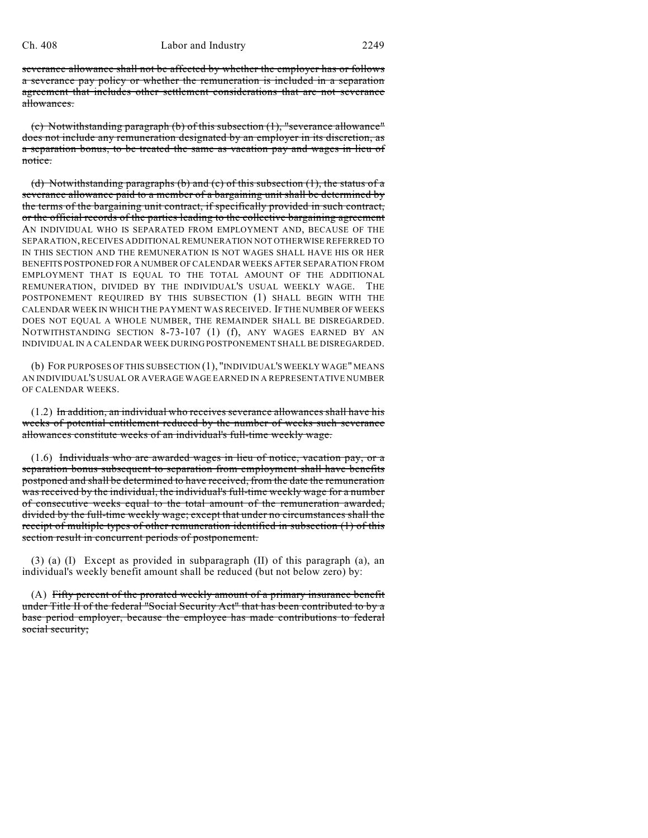severance allowance shall not be affected by whether the employer has or follows a severance pay policy or whether the remuneration is included in a separation agreement that includes other settlement considerations that are not severance allowances.

(c) Notwithstanding paragraph (b) of this subsection (1), "severance allowance" does not include any remuneration designated by an employer in its discretion, as a separation bonus, to be treated the same as vacation pay and wages in lieu of notice.

(d) Notwithstanding paragraphs (b) and (c) of this subsection  $(1)$ , the status of a severance allowance paid to a member of a bargaining unit shall be determined by the terms of the bargaining unit contract, if specifically provided in such contract, or the official records of the parties leading to the collective bargaining agreement AN INDIVIDUAL WHO IS SEPARATED FROM EMPLOYMENT AND, BECAUSE OF THE SEPARATION, RECEIVES ADDITIONAL REMUNERATION NOT OTHERWISE REFERRED TO IN THIS SECTION AND THE REMUNERATION IS NOT WAGES SHALL HAVE HIS OR HER BENEFITS POSTPONED FOR A NUMBER OF CALENDAR WEEKS AFTER SEPARATION FROM EMPLOYMENT THAT IS EQUAL TO THE TOTAL AMOUNT OF THE ADDITIONAL REMUNERATION, DIVIDED BY THE INDIVIDUAL'S USUAL WEEKLY WAGE. THE POSTPONEMENT REQUIRED BY THIS SUBSECTION (1) SHALL BEGIN WITH THE CALENDAR WEEK IN WHICH THE PAYMENT WAS RECEIVED. IF THE NUMBER OF WEEKS DOES NOT EQUAL A WHOLE NUMBER, THE REMAINDER SHALL BE DISREGARDED. NOTWITHSTANDING SECTION 8-73-107 (1) (f), ANY WAGES EARNED BY AN INDIVIDUAL IN A CALENDAR WEEK DURING POSTPONEMENT SHALL BE DISREGARDED.

(b) FOR PURPOSES OF THIS SUBSECTION (1), "INDIVIDUAL'S WEEKLY WAGE" MEANS AN INDIVIDUAL'S USUAL OR AVERAGE WAGE EARNED IN A REPRESENTATIVE NUMBER OF CALENDAR WEEKS.

(1.2) In addition, an individual who receives severance allowances shall have his weeks of potential entitlement reduced by the number of weeks such severance allowances constitute weeks of an individual's full-time weekly wage.

(1.6) Individuals who are awarded wages in lieu of notice, vacation pay, or a separation bonus subsequent to separation from employment shall have benefits postponed and shall be determined to have received, from the date the remuneration was received by the individual, the individual's full-time weekly wage for a number of consecutive weeks equal to the total amount of the remuneration awarded, divided by the full-time weekly wage; except that under no circumstances shall the receipt of multiple types of other remuneration identified in subsection (1) of this section result in concurrent periods of postponement.

(3) (a) (I) Except as provided in subparagraph (II) of this paragraph (a), an individual's weekly benefit amount shall be reduced (but not below zero) by:

(A) Fifty percent of the prorated weekly amount of a primary insurance benefit under Title II of the federal "Social Security Act" that has been contributed to by a base period employer, because the employee has made contributions to federal social security;